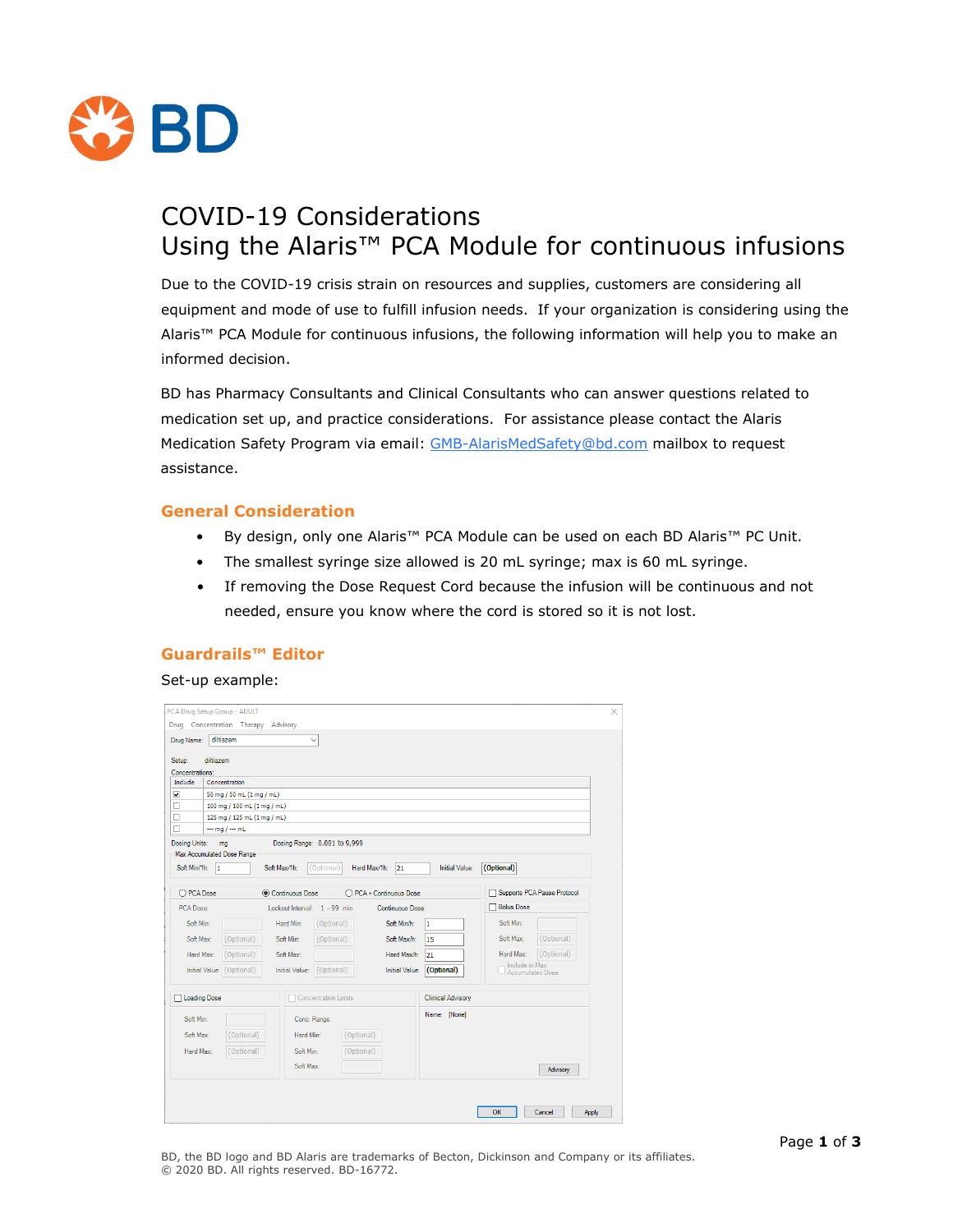

# COVID-19 Considerations Using the Alaris™ PCA Module for continuous infusions

Due to the COVID-19 crisis strain on resources and supplies, customers are considering all equipment and mode of use to fulfill infusion needs. If your organization is considering using the Alaris™ PCA Module for continuous infusions, the following information will help you to make an informed decision.

BD has Pharmacy Consultants and Clinical Consultants who can answer questions related to medication set up, and practice considerations. For assistance please contact the Alaris Medication Safety Program via email: [GMB-AlarisMedSafety@bd.com](mailto:GMB-AlarisMedSafety@bd.com) mailbox to request assistance.

#### **General Consideration**

- By design, only one Alaris™ PCA Module can be used on each BD Alaris™ PC Unit.
- The smallest syringe size allowed is 20 mL syringe; max is 60 mL syringe.
- If removing the Dose Request Cord because the infusion will be continuous and not needed, ensure you know where the cord is stored so it is not lost.

## **Guardrails™ Editor**

#### Set-up example:

| Setup:<br>diltiazem                                        |                             |                                     |                       |                          |                             |                             |  |
|------------------------------------------------------------|-----------------------------|-------------------------------------|-----------------------|--------------------------|-----------------------------|-----------------------------|--|
| Concentrations:<br>Include                                 | Concentration               |                                     |                       |                          |                             |                             |  |
| $\overline{\phantom{0}}$                                   | 50 mg / 50 mL (1 mg / mL)   |                                     |                       |                          |                             |                             |  |
| □                                                          | 100 mg / 100 mL (1 mg / mL) |                                     |                       |                          |                             |                             |  |
| п                                                          | 125 mg / 125 mL (1 mg / mL) |                                     |                       |                          |                             |                             |  |
| $\Box$                                                     | $\cdots$ mg / $\cdots$ mL   |                                     |                       |                          |                             |                             |  |
| Dosing Units:                                              | ma                          | Dosing Range: 0.001 to 9,999        |                       |                          |                             |                             |  |
| Max Accumulated Dose Range                                 |                             |                                     |                       |                          |                             |                             |  |
| Soft Min/1h: 1                                             |                             | Soft Max/1h:<br>(Optional)          | Hard Max/1h:<br>21    | <b>Initial Value:</b>    | (Optional)                  |                             |  |
|                                                            |                             |                                     |                       |                          |                             |                             |  |
| © Continuous Dose<br>O PCA Dose<br>◯ PCA + Continuous Dose |                             |                                     |                       |                          |                             | Supports PCA Pause Protocol |  |
| Lockout Interval: 1 - 99 min<br>PCA Dose:                  |                             |                                     | Continuous Dose:      | <b>Bolus Dose</b>        |                             |                             |  |
| Soft Min:                                                  |                             | Hard Min:<br>(Optional)             | Soft Min/h:           | 1                        | Soft Min:                   |                             |  |
| Soft Max:                                                  | (Optional)                  | Soft Min:<br>(Optional)             | Soft Max/h:           | 15                       | Soft Max:                   | (Optional)                  |  |
|                                                            |                             |                                     |                       |                          |                             |                             |  |
| Hard Max:                                                  | (Optional)                  | Soft Max:                           | Hard Max/h:           | 21                       | Hard Max:<br>Include in Max | (Optional)                  |  |
|                                                            | Initial Value: (Optional)   | <b>Initial Value:</b><br>(Optional) | <b>Initial Value:</b> | (Optional)               | Accumulated Dose            |                             |  |
|                                                            |                             |                                     |                       |                          |                             |                             |  |
| Loading Dose                                               |                             | Concentration Limits                |                       | <b>Clinical Advisory</b> |                             |                             |  |
|                                                            |                             | Conc. Range:                        |                       | Name: [None]             |                             |                             |  |
|                                                            |                             |                                     |                       |                          |                             |                             |  |
| Soft Min:                                                  | (Optional)                  | (Optional)<br>Hard Min:             |                       |                          |                             |                             |  |
| Soft Max:                                                  |                             | Soft Min:<br>(Optional)             |                       |                          |                             |                             |  |
| Hard Max:                                                  | (Optional)                  |                                     |                       |                          |                             |                             |  |
|                                                            |                             | Soft Max:                           |                       |                          |                             | Advisory                    |  |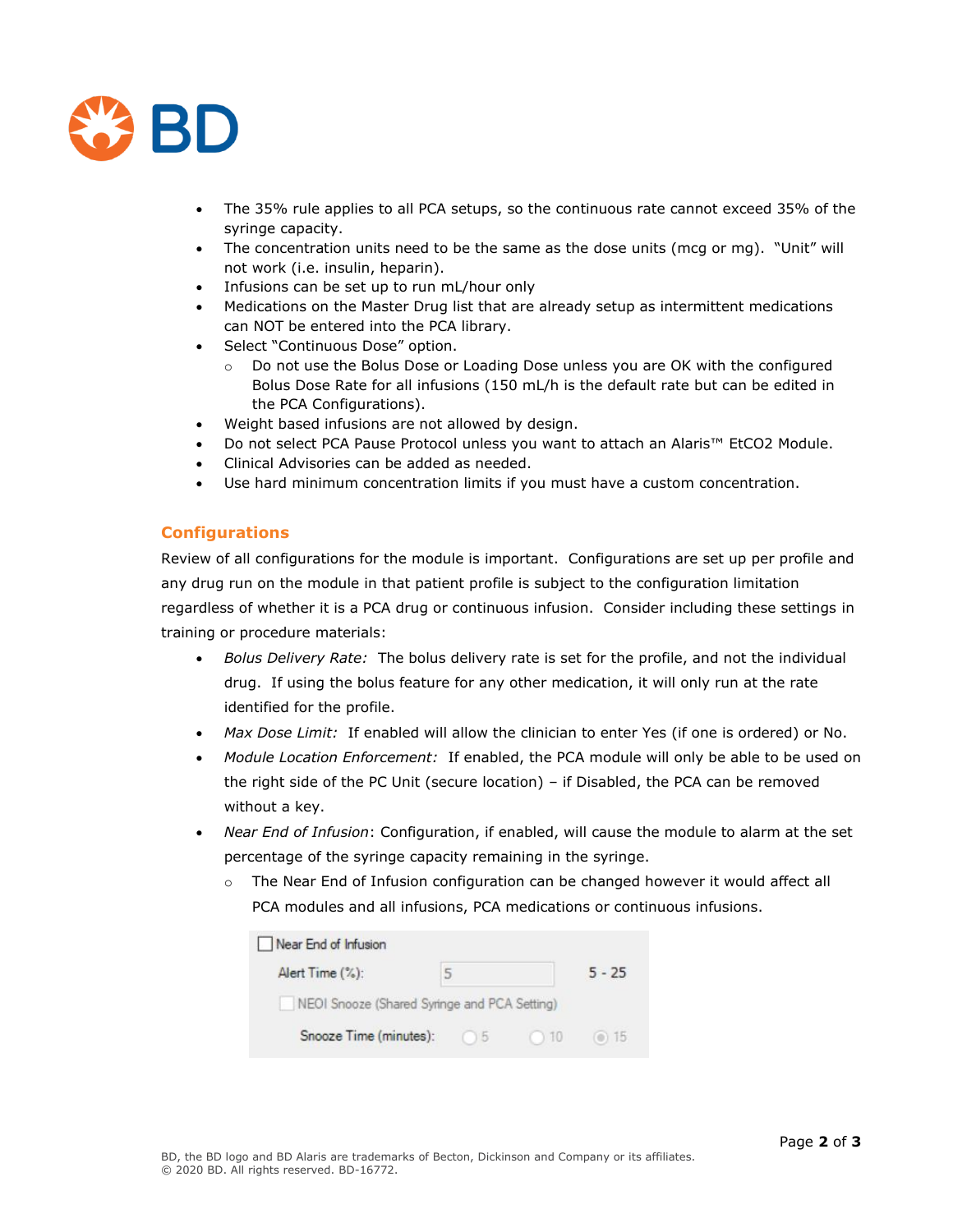

- The 35% rule applies to all PCA setups, so the continuous rate cannot exceed 35% of the syringe capacity.
- The concentration units need to be the same as the dose units (mcg or mg). "Unit" will not work (i.e. insulin, heparin).
- Infusions can be set up to run mL/hour only
- Medications on the Master Drug list that are already setup as intermittent medications can NOT be entered into the PCA library.
- Select "Continuous Dose" option.
	- o Do not use the Bolus Dose or Loading Dose unless you are OK with the configured Bolus Dose Rate for all infusions (150 mL/h is the default rate but can be edited in the PCA Configurations).
- Weight based infusions are not allowed by design.
- Do not select PCA Pause Protocol unless you want to attach an Alaris™ EtCO2 Module.
- Clinical Advisories can be added as needed.
- Use hard minimum concentration limits if you must have a custom concentration.

# **Configurations**

Review of all configurations for the module is important. Configurations are set up per profile and any drug run on the module in that patient profile is subject to the configuration limitation regardless of whether it is a PCA drug or continuous infusion. Consider including these settings in training or procedure materials:

- *Bolus Delivery Rate:* The bolus delivery rate is set for the profile, and not the individual drug. If using the bolus feature for any other medication, it will only run at the rate identified for the profile.
- *Max Dose Limit:* If enabled will allow the clinician to enter Yes (if one is ordered) or No.
- *Module Location Enforcement:* If enabled, the PCA module will only be able to be used on the right side of the PC Unit (secure location) – if Disabled, the PCA can be removed without a key.
- *Near End of Infusion*: Configuration, if enabled, will cause the module to alarm at the set percentage of the syringe capacity remaining in the syringe.
	- $\circ$  The Near End of Infusion configuration can be changed however it would affect all PCA modules and all infusions, PCA medications or continuous infusions.

| Near End of Infusion                         |    |          |       |
|----------------------------------------------|----|----------|-------|
| Alert Time (%):                              |    | $5 - 25$ |       |
| NEOI Snooze (Shared Syringe and PCA Setting) |    |          |       |
| Snooze Time (minutes):                       | 15 | ( ) 10   | () 15 |